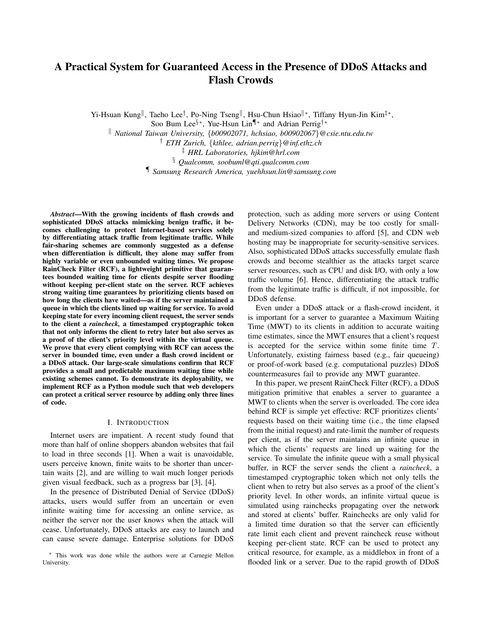# A Practical System for Guaranteed Access in the Presence of DDoS Attacks and Flash Crowds

Yi-Hsuan Kung<sup>||</sup>, Taeho Lee<sup>†</sup>, Po-Ning Tseng<sup>||</sup>, Hsu-Chun Hsiao<sup>||∗</sup>, Tiffany Hyun-Jin Kim<sup>‡∗</sup>,

Soo Bum Lee§<sup>∗</sup> , Yue-Hsun Lin¶<sup>∗</sup> and Adrian Perrig†<sup>∗</sup>

<sup>k</sup> *National Taiwan University,* {*b00902071, hchsiao, b00902067*}*@csie.ntu.edu.tw*

† *ETH Zurich,* {*kthlee, adrian.perrig*}*@inf.ethz.ch*

‡ *HRL Laboratories, hjkim@hrl.com*

§ *Qualcomm, soobuml@qti.qualcomm.com*

¶ *Samsung Research America, yuehhsun.lin@samsung.com*

*Abstract*—With the growing incidents of flash crowds and sophisticated DDoS attacks mimicking benign traffic, it becomes challenging to protect Internet-based services solely by differentiating attack traffic from legitimate traffic. While fair-sharing schemes are commonly suggested as a defense when differentiation is difficult, they alone may suffer from highly variable or even unbounded waiting times. We propose RainCheck Filter (RCF), a lightweight primitive that guarantees bounded waiting time for clients despite server flooding without keeping per-client state on the server. RCF achieves strong waiting time guarantees by prioritizing clients based on how long the clients have waited—as if the server maintained a queue in which the clients lined up waiting for service. To avoid keeping state for every incoming client request, the server sends to the client a *raincheck,* a timestamped cryptographic token that not only informs the client to retry later but also serves as a proof of the client's priority level within the virtual queue. We prove that every client complying with RCF can access the server in bounded time, even under a flash crowd incident or a DDoS attack. Our large-scale simulations confirm that RCF provides a small and predictable maximum waiting time while existing schemes cannot. To demonstrate its deployability, we implement RCF as a Python module such that web developers can protect a critical server resource by adding only three lines of code.

#### I. INTRODUCTION

Internet users are impatient. A recent study found that more than half of online shoppers abandon websites that fail to load in three seconds [1]. When a wait is unavoidable, users perceive known, finite waits to be shorter than uncertain waits [2], and are willing to wait much longer periods given visual feedback, such as a progress bar [3], [4].

In the presence of Distributed Denial of Service (DDoS) attacks, users would suffer from an uncertain or even infinite waiting time for accessing an online service, as neither the server nor the user knows when the attack will cease. Unfortunately, DDoS attacks are easy to launch and can cause severe damage. Enterprise solutions for DDoS protection, such as adding more servers or using Content Delivery Networks (CDN), may be too costly for smalland medium-sized companies to afford [5], and CDN web hosting may be inappropriate for security-sensitive services. Also, sophisticated DDoS attacks successfully emulate flash crowds and become stealthier as the attacks target scarce server resources, such as CPU and disk I/O, with only a low traffic volume [6]. Hence, differentiating the attack traffic from the legitimate traffic is difficult, if not impossible, for DDoS defense.

Even under a DDoS attack or a flash-crowd incident, it is important for a server to guarantee a Maximum Waiting Time (MWT) to its clients in addition to accurate waiting time estimates, since the MWT ensures that a client's request is accepted for the service within some finite time T. Unfortunately, existing fairness based (e.g., fair queueing) or proof-of-work based (e.g. computational puzzles) DDoS countermeasures fail to provide any MWT guarantee.

In this paper, we present RainCheck Filter (RCF), a DDoS mitigation primitive that enables a server to guarantee a MWT to clients when the server is overloaded. The core idea behind RCF is simple yet effective: RCF prioritizes clients' requests based on their waiting time (i.e., the time elapsed from the initial request) and rate-limit the number of requests per client, as if the server maintains an infinite queue in which the clients' requests are lined up waiting for the service. To simulate the infinite queue with a small physical buffer, in RCF the server sends the client a *raincheck*, a timestamped cryptographic token which not only tells the client when to retry but also serves as a proof of the client's priority level. In other words, an infinite virtual queue is simulated using rainchecks propagating over the network and stored at clients' buffer. Rainchecks are only valid for a limited time duration so that the server can efficiently rate limit each client and prevent raincheck reuse without keeping per-client state. RCF can be used to protect any critical resource, for example, as a middlebox in front of a flooded link or a server. Due to the rapid growth of DDoS

<sup>∗</sup> This work was done while the authors were at Carnegie Mellon University.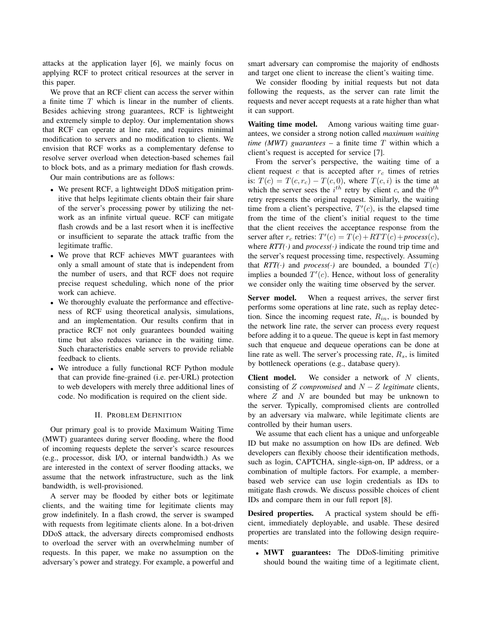attacks at the application layer [6], we mainly focus on applying RCF to protect critical resources at the server in this paper.

We prove that an RCF client can access the server within a finite time T which is linear in the number of clients. Besides achieving strong guarantees, RCF is lightweight and extremely simple to deploy. Our implementation shows that RCF can operate at line rate, and requires minimal modification to servers and no modification to clients. We envision that RCF works as a complementary defense to resolve server overload when detection-based schemes fail to block bots, and as a primary mediation for flash crowds.

Our main contributions are as follows:

- We present RCF, a lightweight DDoS mitigation primitive that helps legitimate clients obtain their fair share of the server's processing power by utilizing the network as an infinite virtual queue. RCF can mitigate flash crowds and be a last resort when it is ineffective or insufficient to separate the attack traffic from the legitimate traffic.
- We prove that RCF achieves MWT guarantees with only a small amount of state that is independent from the number of users, and that RCF does not require precise request scheduling, which none of the prior work can achieve.
- We thoroughly evaluate the performance and effectiveness of RCF using theoretical analysis, simulations, and an implementation. Our results confirm that in practice RCF not only guarantees bounded waiting time but also reduces variance in the waiting time. Such characteristics enable servers to provide reliable feedback to clients.
- We introduce a fully functional RCF Python module that can provide fine-grained (i.e. per-URL) protection to web developers with merely three additional lines of code. No modification is required on the client side.

## II. PROBLEM DEFINITION

Our primary goal is to provide Maximum Waiting Time (MWT) guarantees during server flooding, where the flood of incoming requests deplete the server's scarce resources (e.g., processor, disk I/O, or internal bandwidth.) As we are interested in the context of server flooding attacks, we assume that the network infrastructure, such as the link bandwidth, is well-provisioned.

A server may be flooded by either bots or legitimate clients, and the waiting time for legitimate clients may grow indefinitely. In a flash crowd, the server is swamped with requests from legitimate clients alone. In a bot-driven DDoS attack, the adversary directs compromised endhosts to overload the server with an overwhelming number of requests. In this paper, we make no assumption on the adversary's power and strategy. For example, a powerful and smart adversary can compromise the majority of endhosts and target one client to increase the client's waiting time.

We consider flooding by initial requests but not data following the requests, as the server can rate limit the requests and never accept requests at a rate higher than what it can support.

Waiting time model. Among various waiting time guarantees, we consider a strong notion called *maximum waiting time (MWT) guarantees* – a finite time T within which a client's request is accepted for service [7].

From the server's perspective, the waiting time of a client request  $c$  that is accepted after  $r_c$  times of retries is:  $T(c) = T(c, r_c) - T(c, 0)$ , where  $T(c, i)$  is the time at which the server sees the  $i^{th}$  retry by client c, and the  $0^{th}$ retry represents the original request. Similarly, the waiting time from a client's perspective,  $T'(c)$ , is the elapsed time from the time of the client's initial request to the time that the client receives the acceptance response from the server after  $r_c$  retries:  $T'(c) = T(c) + RTT(c) + process(c)$ , where  $RTT(\cdot)$  and  $process(\cdot)$  indicate the round trip time and the server's request processing time, respectively. Assuming that  $RTT(\cdot)$  and *process*( $\cdot$ ) are bounded, a bounded  $T(c)$ implies a bounded  $T'(c)$ . Hence, without loss of generality we consider only the waiting time observed by the server.

Server model. When a request arrives, the server first performs some operations at line rate, such as replay detection. Since the incoming request rate,  $R_{in}$ , is bounded by the network line rate, the server can process every request before adding it to a queue. The queue is kept in fast memory such that enqueue and dequeue operations can be done at line rate as well. The server's processing rate,  $R_s$ , is limited by bottleneck operations (e.g., database query).

**Client model.** We consider a network of  $N$  clients, consisting of Z *compromised* and N − Z *legitimate* clients, where  $Z$  and  $N$  are bounded but may be unknown to the server. Typically, compromised clients are controlled by an adversary via malware, while legitimate clients are controlled by their human users.

We assume that each client has a unique and unforgeable ID but make no assumption on how IDs are defined. Web developers can flexibly choose their identification methods, such as login, CAPTCHA, single-sign-on, IP address, or a combination of multiple factors. For example, a memberbased web service can use login credentials as IDs to mitigate flash crowds. We discuss possible choices of client IDs and compare them in our full report [8].

Desired properties. A practical system should be efficient, immediately deployable, and usable. These desired properties are translated into the following design requirements:

• MWT guarantees: The DDoS-limiting primitive should bound the waiting time of a legitimate client,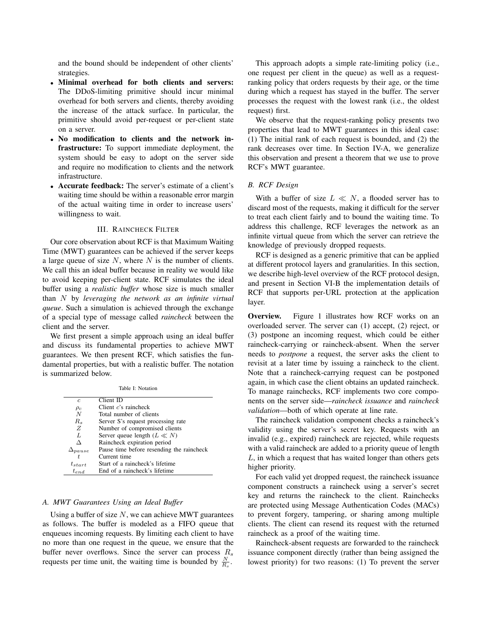and the bound should be independent of other clients' strategies.

- Minimal overhead for both clients and servers: The DDoS-limiting primitive should incur minimal overhead for both servers and clients, thereby avoiding the increase of the attack surface. In particular, the primitive should avoid per-request or per-client state on a server.
- No modification to clients and the network infrastructure: To support immediate deployment, the system should be easy to adopt on the server side and require no modification to clients and the network infrastructure.
- Accurate feedback: The server's estimate of a client's waiting time should be within a reasonable error margin of the actual waiting time in order to increase users' willingness to wait.

## III. RAINCHECK FILTER

Our core observation about RCF is that Maximum Waiting Time (MWT) guarantees can be achieved if the server keeps a large queue of size  $N$ , where  $N$  is the number of clients. We call this an ideal buffer because in reality we would like to avoid keeping per-client state. RCF simulates the ideal buffer using a *realistic buffer* whose size is much smaller than N by *leveraging the network as an infinite virtual queue*. Such a simulation is achieved through the exchange of a special type of message called *raincheck* between the client and the server.

We first present a simple approach using an ideal buffer and discuss its fundamental properties to achieve MWT guarantees. We then present RCF, which satisfies the fundamental properties, but with a realistic buffer. The notation is summarized below.

| Table I: Notation |  |  |
|-------------------|--|--|
|                   |  |  |

| c                | Client ID                                 |
|------------------|-------------------------------------------|
| $\rho_c$         | Client c's raincheck                      |
| N                | Total number of clients                   |
| $R_s$            | Server S's request processing rate        |
| Ζ                | Number of compromised clients             |
| L                | Server queue length $(L \ll N)$           |
| Л                | Raincheck expiration period               |
| $\Delta_{pause}$ | Pause time before resending the raincheck |
| t                | Current time                              |
| $t_{start}$      | Start of a raincheck's lifetime           |
| $t_{end}$        | End of a raincheck's lifetime             |

## *A. MWT Guarantees Using an Ideal Buffer*

Using a buffer of size  $N$ , we can achieve MWT guarantees as follows. The buffer is modeled as a FIFO queue that enqueues incoming requests. By limiting each client to have no more than one request in the queue, we ensure that the buffer never overflows. Since the server can process  $R_s$ requests per time unit, the waiting time is bounded by  $\frac{N}{R_s}$ .

This approach adopts a simple rate-limiting policy (i.e., one request per client in the queue) as well as a requestranking policy that orders requests by their age, or the time during which a request has stayed in the buffer. The server processes the request with the lowest rank (i.e., the oldest request) first.

We observe that the request-ranking policy presents two properties that lead to MWT guarantees in this ideal case: (1) The initial rank of each request is bounded, and (2) the rank decreases over time. In Section IV-A, we generalize this observation and present a theorem that we use to prove RCF's MWT guarantee.

## *B. RCF Design*

With a buffer of size  $L \ll N$ , a flooded server has to discard most of the requests, making it difficult for the server to treat each client fairly and to bound the waiting time. To address this challenge, RCF leverages the network as an infinite virtual queue from which the server can retrieve the knowledge of previously dropped requests.

RCF is designed as a generic primitive that can be applied at different protocol layers and granularities. In this section, we describe high-level overview of the RCF protocol design, and present in Section VI-B the implementation details of RCF that supports per-URL protection at the application layer.

Overview. Figure 1 illustrates how RCF works on an overloaded server. The server can (1) accept, (2) reject, or (3) postpone an incoming request, which could be either raincheck-carrying or raincheck-absent. When the server needs to *postpone* a request, the server asks the client to revisit at a later time by issuing a raincheck to the client. Note that a raincheck-carrying request can be postponed again, in which case the client obtains an updated raincheck. To manage rainchecks, RCF implements two core components on the server side—*raincheck issuance* and *raincheck validation*—both of which operate at line rate.

The raincheck validation component checks a raincheck's validity using the server's secret key. Requests with an invalid (e.g., expired) raincheck are rejected, while requests with a valid raincheck are added to a priority queue of length L, in which a request that has waited longer than others gets higher priority.

For each valid yet dropped request, the raincheck issuance component constructs a raincheck using a server's secret key and returns the raincheck to the client. Rainchecks are protected using Message Authentication Codes (MACs) to prevent forgery, tampering, or sharing among multiple clients. The client can resend its request with the returned raincheck as a proof of the waiting time.

Raincheck-absent requests are forwarded to the raincheck issuance component directly (rather than being assigned the lowest priority) for two reasons: (1) To prevent the server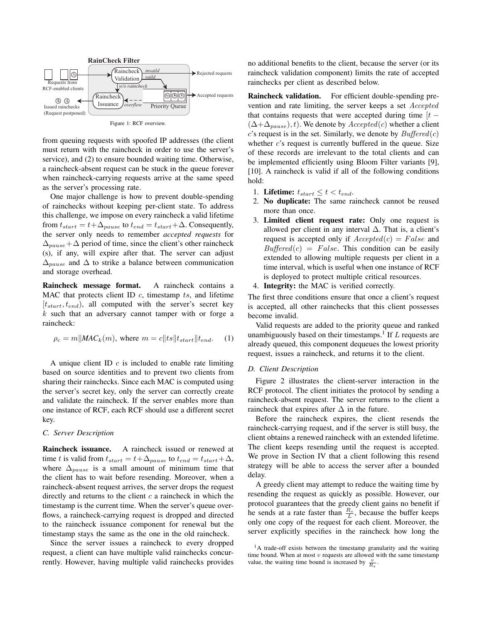

Figure 1: RCF overview.

from queuing requests with spoofed IP addresses (the client must return with the raincheck in order to use the server's service), and (2) to ensure bounded waiting time. Otherwise, a raincheck-absent request can be stuck in the queue forever when raincheck-carrying requests arrive at the same speed as the server's processing rate.

One major challenge is how to prevent double-spending of rainchecks without keeping per-client state. To address this challenge, we impose on every raincheck a valid lifetime from  $t_{start} = t + \Delta_{pause}$  to  $t_{end} = t_{start} + \Delta$ . Consequently, the server only needs to remember *accepted requests* for  $\Delta_{\text{mass}}+\Delta$  period of time, since the client's other raincheck (s), if any, will expire after that. The server can adjust  $\Delta_{\text{pause}}$  and  $\Delta$  to strike a balance between communication and storage overhead.

Raincheck message format. A raincheck contains a MAC that protects client ID  $c$ , timestamp  $ts$ , and lifetime  $[t<sub>start</sub>, t<sub>end</sub>)$ , all computed with the server's secret key  $k$  such that an adversary cannot tamper with or forge a raincheck:

$$
\rho_c = m \left\| MAC_k(m), \text{ where } m = c \right\| t s \| t_{start} \| t_{end}. \tag{1}
$$

A unique client ID  $c$  is included to enable rate limiting based on source identities and to prevent two clients from sharing their rainchecks. Since each MAC is computed using the server's secret key, only the server can correctly create and validate the raincheck. If the server enables more than one instance of RCF, each RCF should use a different secret key.

## *C. Server Description*

Raincheck issuance. A raincheck issued or renewed at time t is valid from  $t_{start} = t + \Delta_{pause}$  to  $t_{end} = t_{start} + \Delta$ , where  $\Delta_{\text{pause}}$  is a small amount of minimum time that the client has to wait before resending. Moreover, when a raincheck-absent request arrives, the server drops the request directly and returns to the client  $c$  a raincheck in which the timestamp is the current time. When the server's queue overflows, a raincheck-carrying request is dropped and directed to the raincheck issuance component for renewal but the timestamp stays the same as the one in the old raincheck.

Since the server issues a raincheck to every dropped request, a client can have multiple valid rainchecks concurrently. However, having multiple valid rainchecks provides no additional benefits to the client, because the server (or its raincheck validation component) limits the rate of accepted rainchecks per client as described below.

Raincheck validation. For efficient double-spending prevention and rate limiting, the server keeps a set Accepted that contains requests that were accepted during time  $[t (\Delta + \Delta_{\text{pause}}), t$ . We denote by  $Accepted(c)$  whether a client  $c$ 's request is in the set. Similarly, we denote by  $Buffered(c)$ whether  $c$ 's request is currently buffered in the queue. Size of these records are irrelevant to the total clients and can be implemented efficiently using Bloom Filter variants [9], [10]. A raincheck is valid if all of the following conditions hold:

- 1. Lifetime:  $t_{start} \leq t < t_{end}$ .
- 2. No duplicate: The same raincheck cannot be reused more than once.
- 3. Limited client request rate: Only one request is allowed per client in any interval  $\Delta$ . That is, a client's request is accepted only if  $Accepted(c) = False$  and  $Buffered(c) = False$ . This condition can be easily extended to allowing multiple requests per client in a time interval, which is useful when one instance of RCF is deployed to protect multiple critical resources.
- 4. Integrity: the MAC is verified correctly.

The first three conditions ensure that once a client's request is accepted, all other rainchecks that this client possesses become invalid.

Valid requests are added to the priority queue and ranked unambiguously based on their timestamps.<sup>1</sup> If  $L$  requests are already queued, this component dequeues the lowest priority request, issues a raincheck, and returns it to the client.

#### *D. Client Description*

Figure 2 illustrates the client-server interaction in the RCF protocol. The client initiates the protocol by sending a raincheck-absent request. The server returns to the client a raincheck that expires after  $\Delta$  in the future.

Before the raincheck expires, the client resends the raincheck-carrying request, and if the server is still busy, the client obtains a renewed raincheck with an extended lifetime. The client keeps resending until the request is accepted. We prove in Section IV that a client following this resend strategy will be able to access the server after a bounded delay.

A greedy client may attempt to reduce the waiting time by resending the request as quickly as possible. However, our protocol guarantees that the greedy client gains no benefit if he sends at a rate faster than  $\frac{R_s}{L}$ , because the buffer keeps only one copy of the request for each client. Moreover, the server explicitly specifies in the raincheck how long the

<sup>&</sup>lt;sup>1</sup>A trade-off exists between the timestamp granularity and the waiting time bound. When at most  $v$  requests are allowed with the same timestamp value, the waiting time bound is increased by  $\frac{v}{R_s}$ .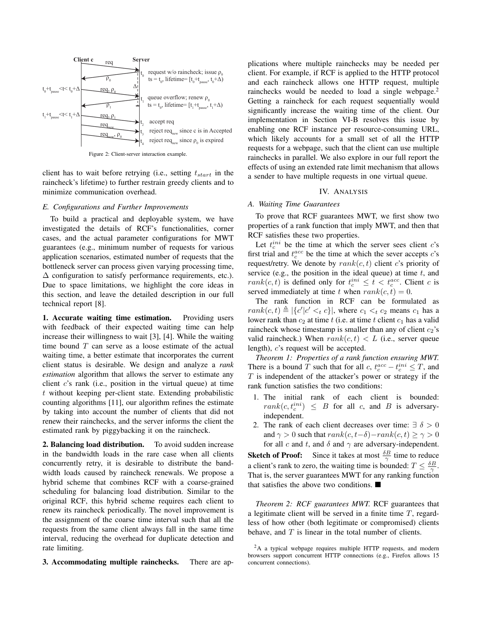

Figure 2: Client-server interaction example.

client has to wait before retrying (i.e., setting  $t_{start}$  in the raincheck's lifetime) to further restrain greedy clients and to minimize communication overhead.

## *E. Configurations and Further Improvements*

To build a practical and deployable system, we have investigated the details of RCF's functionalities, corner cases, and the actual parameter configurations for MWT guarantees (e.g., minimum number of requests for various application scenarios, estimated number of requests that the bottleneck server can process given varying processing time,  $\Delta$  configuration to satisfy performance requirements, etc.). Due to space limitations, we highlight the core ideas in this section, and leave the detailed description in our full technical report [8].

1. Accurate waiting time estimation. Providing users with feedback of their expected waiting time can help increase their willingness to wait [3], [4]. While the waiting time bound  $T$  can serve as a loose estimate of the actual waiting time, a better estimate that incorporates the current client status is desirable. We design and analyze a *rank estimation* algorithm that allows the server to estimate any client  $c$ 's rank (i.e., position in the virtual queue) at time  $t$  without keeping per-client state. Extending probabilistic counting algorithms [11], our algorithm refines the estimate by taking into account the number of clients that did not renew their rainchecks, and the server informs the client the estimated rank by piggybacking it on the raincheck.

2. Balancing load distribution. To avoid sudden increase in the bandwidth loads in the rare case when all clients concurrently retry, it is desirable to distribute the bandwidth loads caused by raincheck renewals. We propose a hybrid scheme that combines RCF with a coarse-grained scheduling for balancing load distribution. Similar to the original RCF, this hybrid scheme requires each client to renew its raincheck periodically. The novel improvement is the assignment of the coarse time interval such that all the requests from the same client always fall in the same time interval, reducing the overhead for duplicate detection and rate limiting.

3. Accommodating multiple rainchecks. There are ap-

plications where multiple rainchecks may be needed per client. For example, if RCF is applied to the HTTP protocol and each raincheck allows one HTTP request, multiple rainchecks would be needed to load a single webpage.<sup>2</sup> Getting a raincheck for each request sequentially would significantly increase the waiting time of the client. Our implementation in Section VI-B resolves this issue by enabling one RCF instance per resource-consuming URL, which likely accounts for a small set of all the HTTP requests for a webpage, such that the client can use multiple rainchecks in parallel. We also explore in our full report the effects of using an extended rate limit mechanism that allows a sender to have multiple requests in one virtual queue.

## IV. ANALYSIS

## *A. Waiting Time Guarantees*

To prove that RCF guarantees MWT, we first show two properties of a rank function that imply MWT, and then that RCF satisfies these two properties.

Let  $t_c^{ini}$  be the time at which the server sees client c's first trial and  $t_c^{acc}$  be the time at which the sever accepts  $c$ 's request/retry. We denote by  $rank(c, t)$  client c's priority of service (e.g., the position in the ideal queue) at time  $t$ , and  $rank(c, t)$  is defined only for  $t_c^{ini} \leq t < t_c^{acc}$ . Client c is served immediately at time t when  $rank(c, t) = 0$ .

The rank function in RCF can be formulated as  $rank(c, t) \triangleq |\{c'|c' <_t c\}|$ , where  $c_1 <_t c_2$  means  $c_1$  has a lower rank than  $c_2$  at time t (i.e. at time t client  $c_1$  has a valid raincheck whose timestamp is smaller than any of client  $c_2$ 's valid raincheck.) When  $rank(c, t) < L$  (i.e., server queue length), c's request will be accepted.

*Theorem 1: Properties of a rank function ensuring MWT.* There is a bound T such that for all c,  $t_c^{acc} - t_c^{ini} \leq T$ , and  $T$  is independent of the attacker's power or strategy if the rank function satisfies the two conditions:

- 1. The initial rank of each client is bounded:  $rank(c, t_c^{ini}) \leq B$  for all c, and B is adversaryindependent.
- 2. The rank of each client decreases over time:  $\exists \delta > 0$ and  $\gamma > 0$  such that  $rank(c, t-\delta) - rank(c, t) \geq \gamma > 0$ for all c and t, and  $\delta$  and  $\gamma$  are adversary-independent.

**Sketch of Proof:** Since it takes at most  $\frac{\delta B}{\gamma}$  time to reduce a client's rank to zero, the waiting time is bounded:  $T \leq \frac{\delta B}{\gamma}$ . That is, the server guarantees MWT for any ranking function that satisfies the above two conditions.

*Theorem 2: RCF guarantees MWT.* RCF guarantees that a legitimate client will be served in a finite time T, regardless of how other (both legitimate or compromised) clients behave, and  $T$  is linear in the total number of clients.

 ${}^{2}$ A a typical webpage requires multiple HTTP requests, and modern browsers support concurrent HTTP connections (e.g., Firefox allows 15 concurrent connections).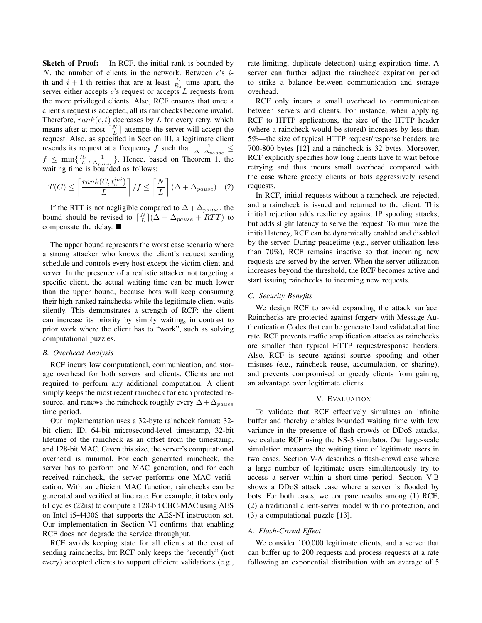Sketch of Proof: In RCF, the initial rank is bounded by  $N$ , the number of clients in the network. Between  $c$ 's  $i$ th and  $i + 1$ -th retries that are at least  $\frac{L}{R_s}$  time apart, the server either accepts  $c$ 's request or accepts  $L$  requests from the more privileged clients. Also, RCF ensures that once a client's request is accepted, all its rainchecks become invalid. Therefore,  $rank(c, t)$  decreases by L for every retry, which means after at most  $\lceil \frac{N}{L} \rceil$  attempts the server will accept the request. Also, as specified in Section III, a legitimate client resends its request at a frequency f such that  $\frac{1}{\Delta + \Delta_{pause}} \le$  $f \leq \min\{\frac{R_s}{L}, \frac{1}{\Delta_{pause}}\}.$  Hence, based on Theorem 1, the waiting time is bounded as follows:

$$
T(C) \le \left\lceil \frac{rank(C, t_c^{ini})}{L} \right\rceil / f \le \left\lceil \frac{N}{L} \right\rceil (\Delta + \Delta_{pause}). \tag{2}
$$

If the RTT is not negligible compared to  $\Delta + \Delta_{pause}$ , the bound should be revised to  $\lceil \frac{N}{L} \rceil (\Delta + \Delta_{pause} + RTT)$  to compensate the delay.

The upper bound represents the worst case scenario where a strong attacker who knows the client's request sending schedule and controls every host except the victim client and server. In the presence of a realistic attacker not targeting a specific client, the actual waiting time can be much lower than the upper bound, because bots will keep consuming their high-ranked rainchecks while the legitimate client waits silently. This demonstrates a strength of RCF: the client can increase its priority by simply waiting, in contrast to prior work where the client has to "work", such as solving computational puzzles.

#### *B. Overhead Analysis*

RCF incurs low computational, communication, and storage overhead for both servers and clients. Clients are not required to perform any additional computation. A client simply keeps the most recent raincheck for each protected resource, and renews the raincheck roughly every  $\Delta + \Delta_{\text{package}}$ time period.

Our implementation uses a 32-byte raincheck format: 32 bit client ID, 64-bit microsecond-level timestamp, 32-bit lifetime of the raincheck as an offset from the timestamp, and 128-bit MAC. Given this size, the server's computational overhead is minimal. For each generated raincheck, the server has to perform one MAC generation, and for each received raincheck, the server performs one MAC verification. With an efficient MAC function, rainchecks can be generated and verified at line rate. For example, it takes only 61 cycles (22ns) to compute a 128-bit CBC-MAC using AES on Intel i5-4430S that supports the AES-NI instruction set. Our implementation in Section VI confirms that enabling RCF does not degrade the service throughput.

RCF avoids keeping state for all clients at the cost of sending rainchecks, but RCF only keeps the "recently" (not every) accepted clients to support efficient validations (e.g., rate-limiting, duplicate detection) using expiration time. A server can further adjust the raincheck expiration period to strike a balance between communication and storage overhead.

RCF only incurs a small overhead to communication between servers and clients. For instance, when applying RCF to HTTP applications, the size of the HTTP header (where a raincheck would be stored) increases by less than 5%—the size of typical HTTP request/response headers are 700-800 bytes [12] and a raincheck is 32 bytes. Moreover, RCF explicitly specifies how long clients have to wait before retrying and thus incurs small overhead compared with the case where greedy clients or bots aggressively resend requests.

In RCF, initial requests without a raincheck are rejected, and a raincheck is issued and returned to the client. This initial rejection adds resiliency against IP spoofing attacks, but adds slight latency to serve the request. To minimize the initial latency, RCF can be dynamically enabled and disabled by the server. During peacetime (e.g., server utilization less than 70%), RCF remains inactive so that incoming new requests are served by the server. When the server utilization increases beyond the threshold, the RCF becomes active and start issuing rainchecks to incoming new requests.

#### *C. Security Benefits*

We design RCF to avoid expanding the attack surface: Rainchecks are protected against forgery with Message Authentication Codes that can be generated and validated at line rate. RCF prevents traffic amplification attacks as rainchecks are smaller than typical HTTP request/response headers. Also, RCF is secure against source spoofing and other misuses (e.g., raincheck reuse, accumulation, or sharing), and prevents compromised or greedy clients from gaining an advantage over legitimate clients.

## V. EVALUATION

To validate that RCF effectively simulates an infinite buffer and thereby enables bounded waiting time with low variance in the presence of flash crowds or DDoS attacks, we evaluate RCF using the NS-3 simulator. Our large-scale simulation measures the waiting time of legitimate users in two cases. Section V-A describes a flash-crowd case where a large number of legitimate users simultaneously try to access a server within a short-time period. Section V-B shows a DDoS attack case where a server is flooded by bots. For both cases, we compare results among (1) RCF, (2) a traditional client-server model with no protection, and (3) a computational puzzle [13].

#### *A. Flash-Crowd Effect*

We consider 100,000 legitimate clients, and a server that can buffer up to 200 requests and process requests at a rate following an exponential distribution with an average of 5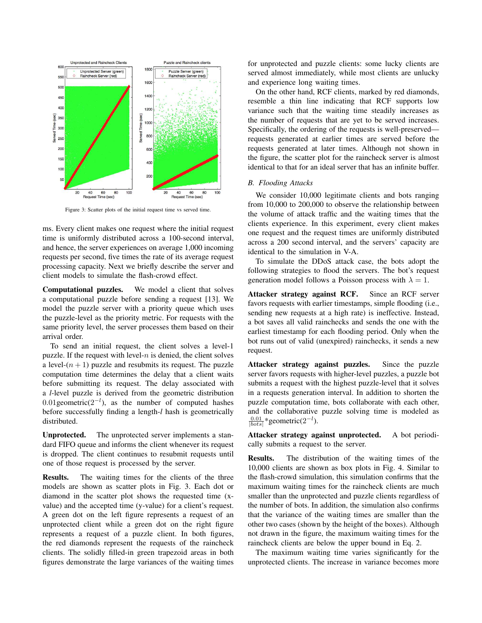

Figure 3: Scatter plots of the initial request time vs served time.

ms. Every client makes one request where the initial request time is uniformly distributed across a 100-second interval, and hence, the server experiences on average 1,000 incoming requests per second, five times the rate of its average request processing capacity. Next we briefly describe the server and client models to simulate the flash-crowd effect.

Computational puzzles. We model a client that solves a computational puzzle before sending a request [13]. We model the puzzle server with a priority queue which uses the puzzle-level as the priority metric. For requests with the same priority level, the server processes them based on their arrival order.

To send an initial request, the client solves a level-1 puzzle. If the request with level- $n$  is denied, the client solves a level- $(n + 1)$  puzzle and resubmits its request. The puzzle computation time determines the delay that a client waits before submitting its request. The delay associated with a *l*-level puzzle is derived from the geometric distribution 0.01 geometric( $2^{-l}$ ), as the number of computed hashes before successfully finding a length-*l* hash is geometrically distributed.

Unprotected. The unprotected server implements a standard FIFO queue and informs the client whenever its request is dropped. The client continues to resubmit requests until one of those request is processed by the server.

Results. The waiting times for the clients of the three models are shown as scatter plots in Fig. 3. Each dot or diamond in the scatter plot shows the requested time (xvalue) and the accepted time (y-value) for a client's request. A green dot on the left figure represents a request of an unprotected client while a green dot on the right figure represents a request of a puzzle client. In both figures, the red diamonds represent the requests of the raincheck clients. The solidly filled-in green trapezoid areas in both figures demonstrate the large variances of the waiting times for unprotected and puzzle clients: some lucky clients are served almost immediately, while most clients are unlucky and experience long waiting times.

On the other hand, RCF clients, marked by red diamonds, resemble a thin line indicating that RCF supports low variance such that the waiting time steadily increases as the number of requests that are yet to be served increases. Specifically, the ordering of the requests is well-preserved requests generated at earlier times are served before the requests generated at later times. Although not shown in the figure, the scatter plot for the raincheck server is almost identical to that for an ideal server that has an infinite buffer.

## *B. Flooding Attacks*

We consider 10,000 legitimate clients and bots ranging from 10,000 to 200,000 to observe the relationship between the volume of attack traffic and the waiting times that the clients experience. In this experiment, every client makes one request and the request times are uniformly distributed across a 200 second interval, and the servers' capacity are identical to the simulation in V-A.

To simulate the DDoS attack case, the bots adopt the following strategies to flood the servers. The bot's request generation model follows a Poisson process with  $\lambda = 1$ .

Attacker strategy against RCF. Since an RCF server favors requests with earlier timestamps, simple flooding (i.e., sending new requests at a high rate) is ineffective. Instead, a bot saves all valid rainchecks and sends the one with the earliest timestamp for each flooding period. Only when the bot runs out of valid (unexpired) rainchecks, it sends a new request.

Attacker strategy against puzzles. Since the puzzle server favors requests with higher-level puzzles, a puzzle bot submits a request with the highest puzzle-level that it solves in a requests generation interval. In addition to shorten the puzzle computation time, bots collaborate with each other, and the collaborative puzzle solving time is modeled as  $\frac{0.01}{|bots|}$  \*geometric(2<sup>-l</sup>).

Attacker strategy against unprotected. A bot periodically submits a request to the server.

Results. The distribution of the waiting times of the 10,000 clients are shown as box plots in Fig. 4. Similar to the flash-crowd simulation, this simulation confirms that the maximum waiting times for the raincheck clients are much smaller than the unprotected and puzzle clients regardless of the number of bots. In addition, the simulation also confirms that the variance of the waiting times are smaller than the other two cases (shown by the height of the boxes). Although not drawn in the figure, the maximum waiting times for the raincheck clients are below the upper bound in Eq. 2.

The maximum waiting time varies significantly for the unprotected clients. The increase in variance becomes more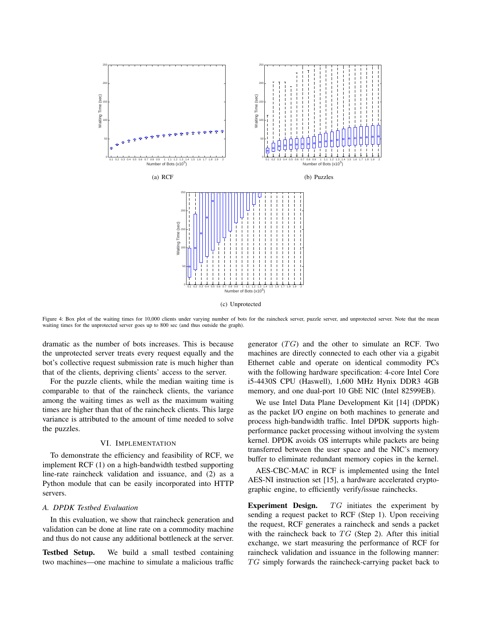

Figure 4: Box plot of the waiting times for 10,000 clients under varying number of bots for the raincheck server, puzzle server, and unprotected server. Note that the mean waiting times for the unprotected server goes up to 800 sec (and thus outside the graph).

dramatic as the number of bots increases. This is because the unprotected server treats every request equally and the bot's collective request submission rate is much higher than that of the clients, depriving clients' access to the server.

For the puzzle clients, while the median waiting time is comparable to that of the raincheck clients, the variance among the waiting times as well as the maximum waiting times are higher than that of the raincheck clients. This large variance is attributed to the amount of time needed to solve the puzzles.

## VI. IMPLEMENTATION

To demonstrate the efficiency and feasibility of RCF, we implement RCF (1) on a high-bandwidth testbed supporting line-rate raincheck validation and issuance, and (2) as a Python module that can be easily incorporated into HTTP servers.

## *A. DPDK Testbed Evaluation*

In this evaluation, we show that raincheck generation and validation can be done at line rate on a commodity machine and thus do not cause any additional bottleneck at the server.

Testbed Setup. We build a small testbed containing two machines—one machine to simulate a malicious traffic generator  $(TG)$  and the other to simulate an RCF. Two machines are directly connected to each other via a gigabit Ethernet cable and operate on identical commodity PCs with the following hardware specification: 4-core Intel Core i5-4430S CPU (Haswell), 1,600 MHz Hynix DDR3 4GB memory, and one dual-port 10 GbE NIC (Intel 82599EB).

We use Intel Data Plane Development Kit [14] (DPDK) as the packet I/O engine on both machines to generate and process high-bandwidth traffic. Intel DPDK supports highperformance packet processing without involving the system kernel. DPDK avoids OS interrupts while packets are being transferred between the user space and the NIC's memory buffer to eliminate redundant memory copies in the kernel.

AES-CBC-MAC in RCF is implemented using the Intel AES-NI instruction set [15], a hardware accelerated cryptographic engine, to efficiently verify/issue rainchecks.

Experiment Design.  $TG$  initiates the experiment by sending a request packet to RCF (Step 1). Upon receiving the request, RCF generates a raincheck and sends a packet with the raincheck back to  $TG$  (Step 2). After this initial exchange, we start measuring the performance of RCF for raincheck validation and issuance in the following manner:  $TG$  simply forwards the raincheck-carrying packet back to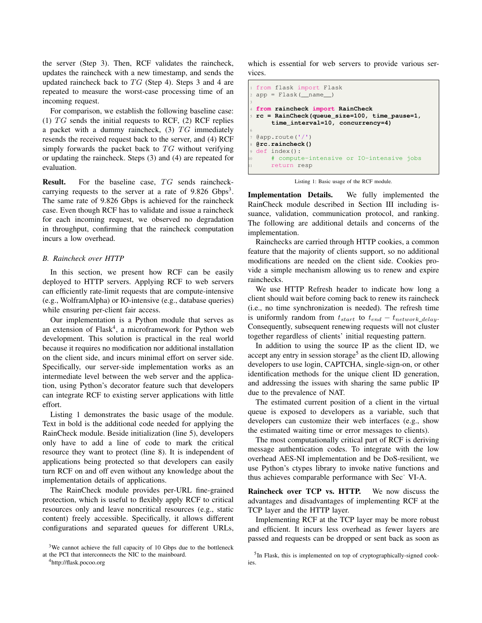the server (Step 3). Then, RCF validates the raincheck, updates the raincheck with a new timestamp, and sends the updated raincheck back to  $TG$  (Step 4). Steps 3 and 4 are repeated to measure the worst-case processing time of an incoming request.

For comparison, we establish the following baseline case: (1)  $TG$  sends the initial requests to RCF, (2) RCF replies a packet with a dummy raincheck,  $(3)$   $TG$  immediately resends the received request back to the server, and (4) RCF simply forwards the packet back to  $TG$  without verifying or updating the raincheck. Steps (3) and (4) are repeated for evaluation.

**Result.** For the baseline case,  $TG$  sends raincheckcarrying requests to the server at a rate of  $9.826$  Gbps<sup>3</sup>. The same rate of 9.826 Gbps is achieved for the raincheck case. Even though RCF has to validate and issue a raincheck for each incoming request, we observed no degradation in throughput, confirming that the raincheck computation incurs a low overhead.

## *B. Raincheck over HTTP*

In this section, we present how RCF can be easily deployed to HTTP servers. Applying RCF to web servers can efficiently rate-limit requests that are compute-intensive (e.g., WolframAlpha) or IO-intensive (e.g., database queries) while ensuring per-client fair access.

Our implementation is a Python module that serves as an extension of Flask<sup>4</sup>, a microframework for Python web development. This solution is practical in the real world because it requires no modification nor additional installation on the client side, and incurs minimal effort on server side. Specifically, our server-side implementation works as an intermediate level between the web server and the application, using Python's decorator feature such that developers can integrate RCF to existing server applications with little effort.

Listing 1 demonstrates the basic usage of the module. Text in bold is the additional code needed for applying the RainCheck module. Beside initialization (line 5), developers only have to add a line of code to mark the critical resource they want to protect (line 8). It is independent of applications being protected so that developers can easily turn RCF on and off even without any knowledge about the implementation details of applications.

The RainCheck module provides per-URL fine-grained protection, which is useful to flexibly apply RCF to critical resources only and leave noncritical resources (e.g., static content) freely accessible. Specifically, it allows different configurations and separated queues for different URLs,

<sup>4</sup>http://flask.pocoo.org

which is essential for web servers to provide various services.

```
from flask import Flask
 app = Flask(\underline{\hspace{2cm}}name \underline{\hspace{2cm}})3
 4 from raincheck import RainCheck
 5 rc = RainCheck(queue_size=100, time_pause=1,
      time_interval=10, concurrency=4)
6
 7 @app.route('/')
 8 @rc.raincheck()
 def index():
      10 # compute-intensive or IO-intensive jobs
      return resp
```
Listing 1: Basic usage of the RCF module.

Implementation Details. We fully implemented the RainCheck module described in Section III including issuance, validation, communication protocol, and ranking. The following are additional details and concerns of the implementation.

Rainchecks are carried through HTTP cookies, a common feature that the majority of clients support, so no additional modifications are needed on the client side. Cookies provide a simple mechanism allowing us to renew and expire rainchecks.

We use HTTP Refresh header to indicate how long a client should wait before coming back to renew its raincheck (i.e., no time synchronization is needed). The refresh time is uniformly random from  $t_{start}$  to  $t_{end} - t_{network\_delay}$ . Consequently, subsequent renewing requests will not cluster together regardless of clients' initial requesting pattern.

In addition to using the source IP as the client ID, we accept any entry in session storage<sup>5</sup> as the client ID, allowing developers to use login, CAPTCHA, single-sign-on, or other identification methods for the unique client ID generation, and addressing the issues with sharing the same public IP due to the prevalence of NAT.

The estimated current position of a client in the virtual queue is exposed to developers as a variable, such that developers can customize their web interfaces (e.g., show the estimated waiting time or error messages to clients).

The most computationally critical part of RCF is deriving message authentication codes. To integrate with the low overhead AES-NI implementation and be DoS-resilient, we use Python's ctypes library to invoke native functions and thus achieves comparable performance with Sec˙ VI-A.

Raincheck over TCP vs. HTTP. We now discuss the advantages and disadvantages of implementing RCF at the TCP layer and the HTTP layer.

Implementing RCF at the TCP layer may be more robust and efficient. It incurs less overhead as fewer layers are passed and requests can be dropped or sent back as soon as

<sup>&</sup>lt;sup>3</sup>We cannot achieve the full capacity of 10 Gbps due to the bottleneck at the PCI that interconnects the NIC to the mainboard.

<sup>&</sup>lt;sup>5</sup>In Flask, this is implemented on top of cryptographically-signed cookies.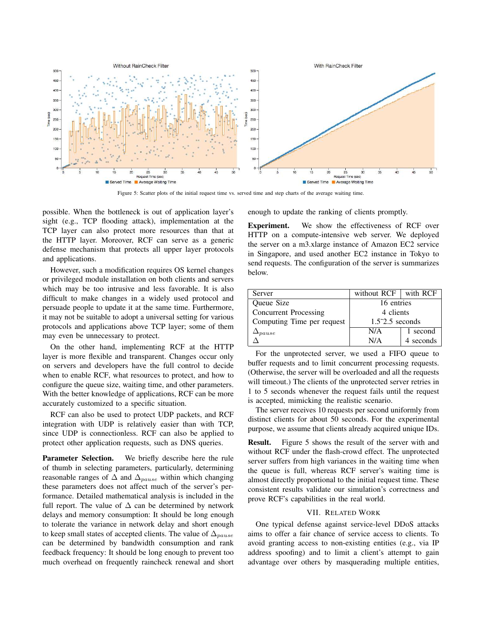

Figure 5: Scatter plots of the initial request time vs. served time and step charts of the average waiting time.

possible. When the bottleneck is out of application layer's sight (e.g., TCP flooding attack), implementation at the TCP layer can also protect more resources than that at the HTTP layer. Moreover, RCF can serve as a generic defense mechanism that protects all upper layer protocols and applications.

However, such a modification requires OS kernel changes or privileged module installation on both clients and servers which may be too intrusive and less favorable. It is also difficult to make changes in a widely used protocol and persuade people to update it at the same time. Furthermore, it may not be suitable to adopt a universal setting for various protocols and applications above TCP layer; some of them may even be unnecessary to protect.

On the other hand, implementing RCF at the HTTP layer is more flexible and transparent. Changes occur only on servers and developers have the full control to decide when to enable RCF, what resources to protect, and how to configure the queue size, waiting time, and other parameters. With the better knowledge of applications, RCF can be more accurately customized to a specific situation.

RCF can also be used to protect UDP packets, and RCF integration with UDP is relatively easier than with TCP, since UDP is connectionless. RCF can also be applied to protect other application requests, such as DNS queries.

Parameter Selection. We briefly describe here the rule of thumb in selecting parameters, particularly, determining reasonable ranges of  $\Delta$  and  $\Delta_{pause}$  within which changing these parameters does not affect much of the server's performance. Detailed mathematical analysis is included in the full report. The value of  $\Delta$  can be determined by network delays and memory consumption: It should be long enough to tolerate the variance in network delay and short enough to keep small states of accepted clients. The value of  $\Delta_{\text{package}}$ can be determined by bandwidth consumption and rank feedback frequency: It should be long enough to prevent too much overhead on frequently raincheck renewal and short enough to update the ranking of clients promptly.

Experiment. We show the effectiveness of RCF over HTTP on a compute-intensive web server. We deployed the server on a m3.xlarge instance of Amazon EC2 service in Singapore, and used another EC2 instance in Tokyo to send requests. The configuration of the server is summarizes below.

| Server                       | without $RCF$ with $RCF$ |           |  |
|------------------------------|--------------------------|-----------|--|
| Queue Size                   | 16 entries               |           |  |
| <b>Concurrent Processing</b> | 4 clients                |           |  |
| Computing Time per request   | $1.5^{\circ}2.5$ seconds |           |  |
| $\Delta_{pause}$             | N/A                      | 1 second  |  |
|                              | N/A                      | 4 seconds |  |

For the unprotected server, we used a FIFO queue to buffer requests and to limit concurrent processing requests. (Otherwise, the server will be overloaded and all the requests will timeout.) The clients of the unprotected server retries in 1 to 5 seconds whenever the request fails until the request is accepted, mimicking the realistic scenario.

The server receives 10 requests per second uniformly from distinct clients for about 50 seconds. For the experimental purpose, we assume that clients already acquired unique IDs.

Result. Figure 5 shows the result of the server with and without RCF under the flash-crowd effect. The unprotected server suffers from high variances in the waiting time when the queue is full, whereas RCF server's waiting time is almost directly proportional to the initial request time. These consistent results validate our simulation's correctness and prove RCF's capabilities in the real world.

#### VII. RELATED WORK

One typical defense against service-level DDoS attacks aims to offer a fair chance of service access to clients. To avoid granting access to non-existing entities (e.g., via IP address spoofing) and to limit a client's attempt to gain advantage over others by masquerading multiple entities,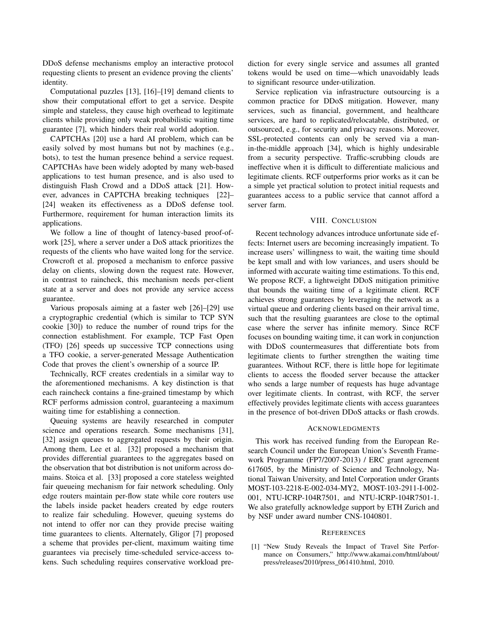DDoS defense mechanisms employ an interactive protocol requesting clients to present an evidence proving the clients' identity.

Computational puzzles [13], [16]–[19] demand clients to show their computational effort to get a service. Despite simple and stateless, they cause high overhead to legitimate clients while providing only weak probabilistic waiting time guarantee [7], which hinders their real world adoption.

CAPTCHAs [20] use a hard AI problem, which can be easily solved by most humans but not by machines (e.g., bots), to test the human presence behind a service request. CAPTCHAs have been widely adopted by many web-based applications to test human presence, and is also used to distinguish Flash Crowd and a DDoS attack [21]. However, advances in CAPTCHA breaking techniques [22]– [24] weaken its effectiveness as a DDoS defense tool. Furthermore, requirement for human interaction limits its applications.

We follow a line of thought of latency-based proof-ofwork [25], where a server under a DoS attack prioritizes the requests of the clients who have waited long for the service. Crowcroft et al. proposed a mechanism to enforce passive delay on clients, slowing down the request rate. However, in contrast to raincheck, this mechanism needs per-client state at a server and does not provide any service access guarantee.

Various proposals aiming at a faster web [26]–[29] use a cryptographic credential (which is similar to TCP SYN cookie [30]) to reduce the number of round trips for the connection establishment. For example, TCP Fast Open (TFO) [26] speeds up successive TCP connections using a TFO cookie, a server-generated Message Authentication Code that proves the client's ownership of a source IP.

Technically, RCF creates credentials in a similar way to the aforementioned mechanisms. A key distinction is that each raincheck contains a fine-grained timestamp by which RCF performs admission control, guaranteeing a maximum waiting time for establishing a connection.

Queuing systems are heavily researched in computer science and operations research. Some mechanisms [31], [32] assign queues to aggregated requests by their origin. Among them, Lee et al. [32] proposed a mechanism that provides differential guarantees to the aggregates based on the observation that bot distribution is not uniform across domains. Stoica et al. [33] proposed a core stateless weighted fair queueing mechanism for fair network scheduling. Only edge routers maintain per-flow state while core routers use the labels inside packet headers created by edge routers to realize fair scheduling. However, queuing systems do not intend to offer nor can they provide precise waiting time guarantees to clients. Alternately, Gligor [7] proposed a scheme that provides per-client, maximum waiting time guarantees via precisely time-scheduled service-access tokens. Such scheduling requires conservative workload prediction for every single service and assumes all granted tokens would be used on time—which unavoidably leads to significant resource under-utilization.

Service replication via infrastructure outsourcing is a common practice for DDoS mitigation. However, many services, such as financial, government, and healthcare services, are hard to replicated/relocatable, distributed, or outsourced, e.g., for security and privacy reasons. Moreover, SSL-protected contents can only be served via a manin-the-middle approach [34], which is highly undesirable from a security perspective. Traffic-scrubbing clouds are ineffective when it is difficult to differentiate malicious and legitimate clients. RCF outperforms prior works as it can be a simple yet practical solution to protect initial requests and guarantees access to a public service that cannot afford a server farm.

## VIII. CONCLUSION

Recent technology advances introduce unfortunate side effects: Internet users are becoming increasingly impatient. To increase users' willingness to wait, the waiting time should be kept small and with low variances, and users should be informed with accurate waiting time estimations. To this end, We propose RCF, a lightweight DDoS mitigation primitive that bounds the waiting time of a legitimate client. RCF achieves strong guarantees by leveraging the network as a virtual queue and ordering clients based on their arrival time, such that the resulting guarantees are close to the optimal case where the server has infinite memory. Since RCF focuses on bounding waiting time, it can work in conjunction with DDoS countermeasures that differentiate bots from legitimate clients to further strengthen the waiting time guarantees. Without RCF, there is little hope for legitimate clients to access the flooded server because the attacker who sends a large number of requests has huge advantage over legitimate clients. In contrast, with RCF, the server effectively provides legitimate clients with access guarantees in the presence of bot-driven DDoS attacks or flash crowds.

#### ACKNOWLEDGMENTS

This work has received funding from the European Research Council under the European Union's Seventh Framework Programme (FP7/2007-2013) / ERC grant agreement 617605, by the Ministry of Science and Technology, National Taiwan University, and Intel Corporation under Grants MOST-103-2218-E-002-034-MY2, MOST-103-2911-I-002- 001, NTU-ICRP-104R7501, and NTU-ICRP-104R7501-1. We also gratefully acknowledge support by ETH Zurich and by NSF under award number CNS-1040801.

## **REFERENCES**

[1] "New Study Reveals the Impact of Travel Site Performance on Consumers," http://www.akamai.com/html/about/ press/releases/2010/press 061410.html, 2010.